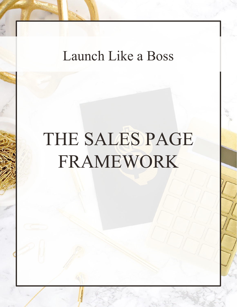## Launch Like a Boss

# THE SALES PAGE FRAMEWORK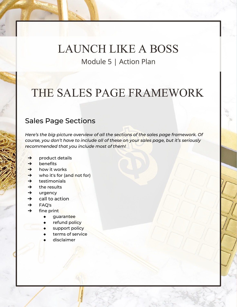### THE SALES PAGE FRAMEWORK

#### Sales Page Sections

*Here's the big-picture overview of all the sections of the sales page framework. Of course, you don't have to include all of these on your sales page, but it's seriously recommended that you include most of them!*

- $\rightarrow$  product details
- $\rightarrow$  benefits
- $\rightarrow$  how it works
- **→** who it's for (and not for)
- $\rightarrow$  testimonials
- $\rightarrow$  the results
- $\rightarrow$  urgency
- $\rightarrow$  call to action
- ➔ FAQ's
- $\rightarrow$  fine print
	- guarantee
	- refund policy
	- support policy
	- terms of service
	- disclaimer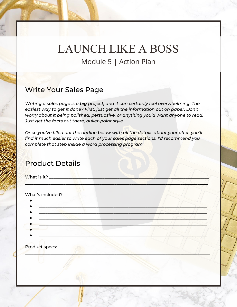#### Write Your Sales Page

*Writing a sales page is a big project, and it can certainly feel overwhelming. The easiest way to get it done? First, just get all the information out on paper. Don't worry about it being polished, persuasive, or anything you'd want anyone to read. Just get the facts out there, bullet-point style.*

*Once you've filled out the outline below with all the details about your offer, you'll find it much easier to write each of your sales page sections. I'd recommend you complete that step inside a word processing program.*

\_\_\_\_\_\_\_\_\_\_\_\_\_\_\_\_\_\_\_\_\_\_\_\_\_\_\_\_\_\_\_\_\_\_\_\_\_\_\_\_\_\_\_\_\_\_\_\_\_\_\_\_\_\_\_\_\_\_\_\_\_\_\_\_\_\_\_\_\_\_\_\_\_\_\_\_\_\_\_\_\_\_\_\_\_\_

### Product Details

What is it?

#### What's included?

| Product specs: |  |
|----------------|--|
|                |  |
|                |  |

 $\mathscr{M}$  , and the same of the same of the same of the same of the same of the same of the same of the same of the same of the same of the same of the same of the same of the same of the same of the same of the same of th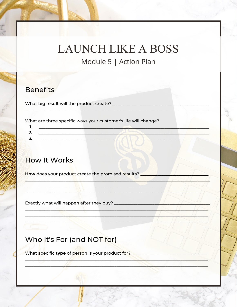#### **Benefits**

What big result will the product create? \_\_\_\_\_\_\_\_\_\_\_\_\_\_\_\_

What are three specific ways your customer's life will change?

### **How It Works**

How does your product create the promised results?

Exactly what will happen after they buy? \_\_\_\_\_\_\_\_\_\_\_

### Who It's For (and NOT for)

What specific type of person is your product for? \_\_\_\_\_\_\_\_\_\_\_\_\_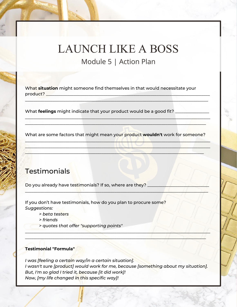What **situation** might someone find themselves in that would necessitate your  $product?$ 

 $\frac{1}{2}$  ,  $\frac{1}{2}$  ,  $\frac{1}{2}$  ,  $\frac{1}{2}$  ,  $\frac{1}{2}$  ,  $\frac{1}{2}$  ,  $\frac{1}{2}$  ,  $\frac{1}{2}$  ,  $\frac{1}{2}$  ,  $\frac{1}{2}$  ,  $\frac{1}{2}$  ,  $\frac{1}{2}$  ,  $\frac{1}{2}$  ,  $\frac{1}{2}$  ,  $\frac{1}{2}$  ,  $\frac{1}{2}$  ,  $\frac{1}{2}$  ,  $\frac{1}{2}$  ,  $\frac{1$ 

 $\frac{1}{2}$  ,  $\frac{1}{2}$  ,  $\frac{1}{2}$  ,  $\frac{1}{2}$  ,  $\frac{1}{2}$  ,  $\frac{1}{2}$  ,  $\frac{1}{2}$  ,  $\frac{1}{2}$  ,  $\frac{1}{2}$  ,  $\frac{1}{2}$  ,  $\frac{1}{2}$  ,  $\frac{1}{2}$  ,  $\frac{1}{2}$  ,  $\frac{1}{2}$  ,  $\frac{1}{2}$  ,  $\frac{1}{2}$  ,  $\frac{1}{2}$  ,  $\frac{1}{2}$  ,  $\frac{1$ \_\_\_\_\_\_\_\_\_\_\_\_\_\_\_\_\_\_\_\_\_\_\_\_\_\_\_\_\_\_\_\_\_\_\_\_\_\_\_\_\_\_\_\_\_\_\_\_\_\_\_\_\_\_\_\_\_\_\_\_\_\_\_\_\_\_\_\_\_\_\_\_\_\_\_\_\_\_\_\_\_\_\_\_\_

What **feelings** might indicate that your product would be a good fit?

What are some factors that might mean your product **wouldn't** work for someone?

\_\_\_\_\_\_\_\_\_\_\_\_\_\_\_\_\_\_\_\_\_\_\_\_\_\_\_\_\_\_\_\_\_\_\_\_\_\_\_\_\_\_\_\_\_\_\_\_\_\_\_\_\_\_\_\_\_\_\_\_\_\_\_\_\_\_\_\_\_\_\_\_\_\_\_\_\_\_\_\_\_\_\_\_\_\_\_ \_\_\_\_\_\_\_\_\_\_\_\_\_\_\_\_\_\_\_\_\_\_\_\_\_\_\_\_\_\_\_\_\_\_\_\_\_\_\_\_\_\_\_\_\_\_\_\_\_\_\_\_\_\_\_\_\_\_\_\_\_\_\_\_\_\_\_\_\_\_\_\_\_\_\_\_\_\_\_\_\_\_\_\_\_\_\_ \_\_\_\_\_\_\_\_\_\_\_\_\_\_\_\_\_\_\_\_\_\_\_\_\_\_\_\_\_\_\_\_\_\_\_\_\_\_\_\_\_\_\_\_\_\_\_\_\_\_\_\_\_\_\_\_\_\_\_\_\_\_\_\_\_\_\_\_\_\_\_\_\_\_\_\_\_\_\_\_\_\_\_\_

 $\Box$ 

### **Testimonials**

Do you already have testimonials? If so, where are they?  $\overline{\phantom{a}}$ 

If you don't have testimonials, how do you plan to procure some? *Suggestions:*

- *> beta testers*
- *> friends*
- *> quotes that offer "supporting points"*

#### **Testimonial "Formula"**

*I was [feeling a certain way/in a certain situation]. I wasn't sure [product] would work for me, because [something about my situation]. But, I'm so glad I tried it, because [it did work]! Now, [my life changed in this specific way]!*

\_\_\_\_\_\_\_\_\_\_\_\_\_\_\_\_\_\_\_\_\_\_\_\_\_\_\_\_\_\_\_\_\_\_\_\_\_\_\_\_\_\_\_\_\_\_\_\_\_\_\_\_\_\_\_\_\_\_\_\_\_\_\_\_\_\_\_\_\_\_\_\_\_\_\_\_\_\_\_\_\_\_\_\_\_\_\_  $\frac{1}{2}$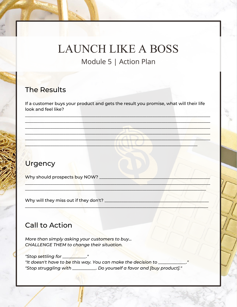### **The Results**

If a customer buys your product and gets the result you promise, what will their life look and feel like?

### **Urgency**

Why should prospects buy NOW? \_

Why will they miss out if they don't? \_\_\_\_\_\_\_\_\_\_\_\_\_\_

### **Call to Action**

More than simply asking your customers to buy... **CHALLENGE THEM to change their situation.** 

"It doesn't have to be this way. You can make the decision to \_ "Stop struggling with \_\_\_\_\_\_\_\_\_\_. Do yourself a favor and [buy product]."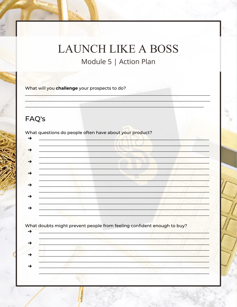# **LAUNCH LIKE A BOSS**

Module 5 | Action Plan

What will you challenge your prospects to do?

### FAQ's

What questions do people often have about your product?



What doubts might prevent people from feeling confident enough to buy?